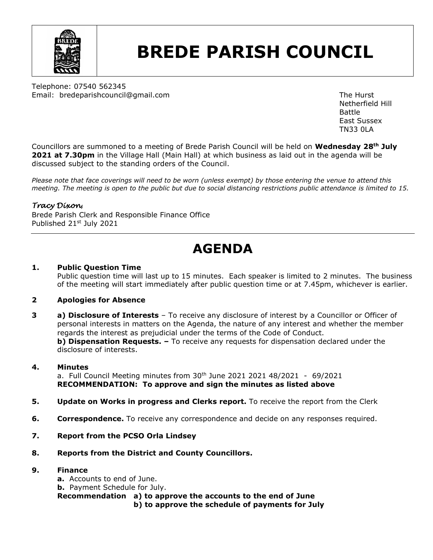

# **BREDE PARISH COUNCIL**

Telephone: 07540 562345 Email: bredeparishcouncil@gmail.com example and the Hurst The Hurst

Netherfield Hill Battle East Sussex TN33 0LA

Councillors are summoned to a meeting of Brede Parish Council will be held on **Wednesday 28th July 2021 at 7.30pm** in the Village Hall (Main Hall) at which business as laid out in the agenda will be discussed subject to the standing orders of the Council.

*Please note that face coverings will need to be worn (unless exempt) by those entering the venue to attend this meeting. The meeting is open to the public but due to social distancing restrictions public attendance is limited to 15.*

## *Tracy Dixon*,

Brede Parish Clerk and Responsible Finance Office Published 21st July 2021

# **AGENDA**

#### **1. Public Question Time**

Public question time will last up to 15 minutes. Each speaker is limited to 2 minutes. The business of the meeting will start immediately after public question time or at 7.45pm, whichever is earlier.

#### **2 Apologies for Absence**

**3 a) Disclosure of Interests** – To receive any disclosure of interest by a Councillor or Officer of personal interests in matters on the Agenda, the nature of any interest and whether the member regards the interest as prejudicial under the terms of the Code of Conduct. **b) Dispensation Requests.**  $-$  To receive any requests for dispensation declared under the disclosure of interests.

#### **4. Minutes**

a. Full Council Meeting minutes from  $30<sup>th</sup>$  June 2021 2021 48/2021 - 69/2021 **RECOMMENDATION: To approve and sign the minutes as listed above**

- **5. Update on Works in progress and Clerks report.** To receive the report from the Clerk
- **6. Correspondence.** To receive any correspondence and decide on any responses required.
- **7. Report from the PCSO Orla Lindsey**
- **8. Reports from the District and County Councillors.**

### **9. Finance**

**a.** Accounts to end of June. **b.** Payment Schedule for July. **Recommendation a) to approve the accounts to the end of June b) to approve the schedule of payments for July**